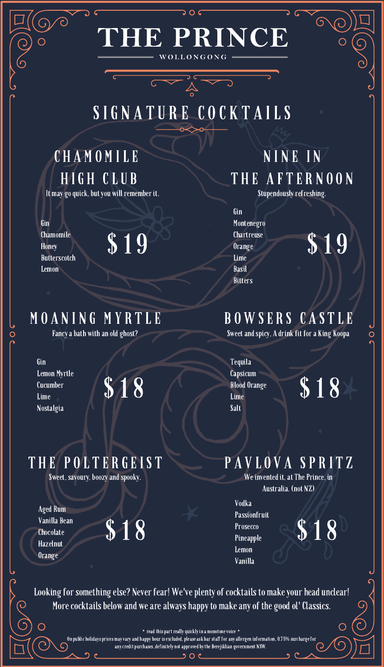### E PRINCE WOLLONGONG

 $\overline{\phantom{a}}$   $\overline{\phantom{a}}$   $\overline{\phantom{a}}$ 

# S IG N A T U R E C O C K T A ILS

### C H A M O M ILE H IG H CL U B

It may go quick, but you will remember it.

Gin Chamomile **Honey** Butterscotch Lemon

### M O A N I N G M Y R T LE

Fancy a bath with an old ghost?

T H E P O L T E R GEI S T

Sweet, savoury, boozy and spooky.

Gin Lemon Myrtle Cucumber Lime Nostalgia

Aged Rum Vanilla Bean **Chocolate** Hazelnut Orange



#### N I N E I N T H E A F T E R N O O N Stupendously refreshing.

Gin Montenegro Chartreuse Orange Lime Basil **Bitters** 

# $\text{\textsterling}19$  Sinartreuse  $\text{\textsterling}19$

### B O W SE R S C A S T LE

Sweet and spicy, A drink fit for a King Koopa

Tequila Capsicum Blood Orange Lime Salt

 $\overline{O}$ 

### PAVLOVA SPRITZ

We invented it, at The Prince, in Australia. (not NZ)

Vodka Passionfruit Prosecco Pineapple Lemon Vanilla  $$18$  Prosecco  $$18$ 

Looking for something else? Never fear! We've plenty of cocktails to make your head unclear! More cocktails below and we are always happy to make any of the good ol' Classics.

 $*$  read this part really quickly in a monotone voice  $*$ 

 $O<sub>c</sub>$ ງ

On public holidays prices may vary and happy hour is excluded, please ask bar staff for any allergen information, 0.75% surcharge for any credit purchases, definitely not approved by the Berejiklian government NSW.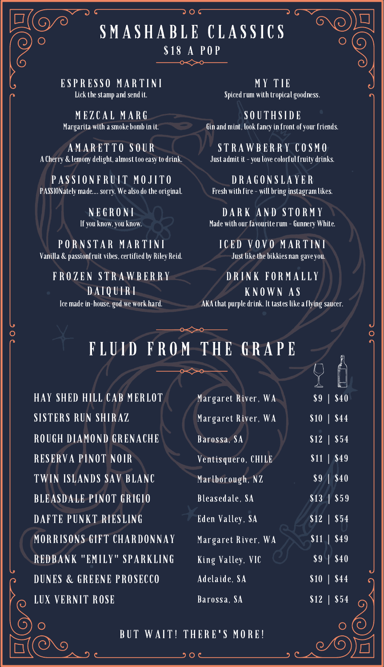### SMASHABLE CLASSICS \$18 A POP

 $50c$ 

ES P R ES S O M A R T I N I Lick the stamp and send it.

M E Z C A L M A R G Margarita with a smoke bomb in it.

A M A R E T T O S O U R A Cherry & lemony delight, almost too easy to drink.

PASSIONERUIT MOJITO PASSIONately made.... sorry. We also do the original.

> N EG R O N I If you know, you know.

PORNSTAR MARTINI Vanilla & passionfruit vibes, certified by Riley Reid.

FROZEN STRAWBERRY DA I QUIRI Ice made in-house, god we work hard.

M Y T IE Spiced rum with tropical goodness.

S O U T H S I D E Gin and mint, look fancy in front of your friends.

S T R A W B E R R Y C O S M O Just admit it - you love colorful fruity drinks.

D R A G O N SL A Y E R Fresh with fire - will bring instagram likes.

D A R K A N D S T O R M Y Made with our favourite rum - Gunnery White.

ICED VOVO MARTINI Just like the bikkies nan gave you.

D R I N K F O R M A L L Y K N O W N A S AKA that purple drink. It tastes like a flying saucer.

### FLUID FROM THE GRAPE

HAY SHED HILL CAB MERLOT SISTERS RUN SHIRAZ ROUGH DIAMOND GRENACHE RESERVA PINOT NOIR TWIN ISLANDS SAV BLANC BLEASDALE PINOT GRIGIO DAFTE PUNKT RIESLING MORRISONS GIFT CHARDONNAY REDBANK "EMILY" SPARKLING DUNES & GREENE PROSECCO LUX VERNIT ROSE

| Margaret River, WA      | $$9 \mid $40$                        |  |
|-------------------------|--------------------------------------|--|
| Margaret River, WA      | \$10   \$44                          |  |
| Barossa, SA             | $$12$   $$54$                        |  |
| Ventisquero, CHILE      | $$11$   \$49                         |  |
| Marlborough, NZ         | $\overline{\$9}$   $\overline{\$40}$ |  |
| Bleasedale, SA          | $$13$   \$59                         |  |
| Eden Valley, SA         | \$12   \$54                          |  |
| Margaret River, WA      | \$11   \$49                          |  |
| <b>King Valley, VIC</b> | $$9 \mid $40$                        |  |
| Adelaide, SA            | $$10 \mid $44$                       |  |
| Barossa, SA             | $$12$   $$54$                        |  |
|                         |                                      |  |

 $\bigcirc$ 

B U T W A I T ! T H E R E**'** S M O R E!

っoc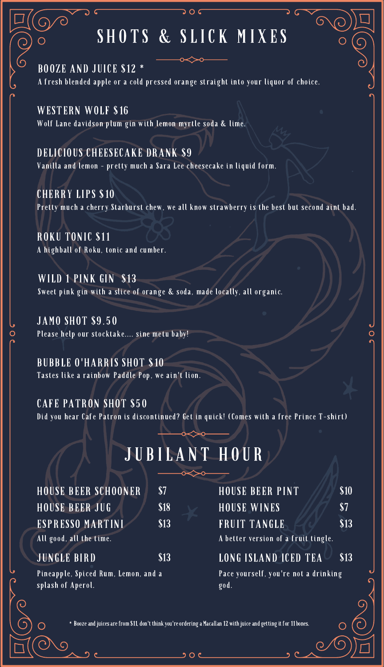### SHOTS & SLICK MIXES

BOOZE AND JUICE \$12 \* A fresh blended apple or a cold pressed orange straight into your liquor of choice.

WESTERN WOLF \$16 Wolf Lane davidson plum gin with lemon myrtle soda & lime.

DELICIOUS CHEESECAKE DRANK \$9

 $\bigcirc$ 

Vanilla and lemon - pretty much a Sara Lee cheesecake in liquid form.

CHERRY LIPS \$10

Pretty much a cherry Starburst chew, we all know strawberry is the best but second aint bad.

ROKU TONIC \$11 A highball of Roku, tonic and cumber.

WILD 1 PINK GIN \$13 Sweet pink gin with a slice of orange & soda, made locally, all organic.

JAMO SHOT \$9.50 Please help our stocktake.... sine metu baby!

BUBBLE O'HARRIS SHOT \$10 Tastes like a rainbow Paddle Pop, we ain't lion.

CAFE PATRON SHOT \$50

Did you hear Cafe Patron is discontinued? Get in quick! (Comes with a free Prince T-shirt)

## J U B IL A N T H O U R

| <b>HOUSE BEER SCHOONER</b>          | \$7  |
|-------------------------------------|------|
| <b>HOUSE BEER JUG</b>               | \$18 |
| ESPRESSO MARTINI                    | \$13 |
| All good, all the time.             |      |
| <b>JUNGLE BIRD</b>                  | \$13 |
| Pineapple, Spiced Rum, Lemon, and a |      |

splash of Aperol.

#### HOUSE BEER PINT \$10  $HOUSE WINES$  \$7 FRUIT TANGLE \$13 LONG ISLAND ICED TEA \$13 A better version of a fruit tingle. Pace yourself, you're not a drinking god.

\* Booze and juices are from \$11, don't think you're ordering a Macallan 12 with juice and getting it for 11 bones.

 $200$